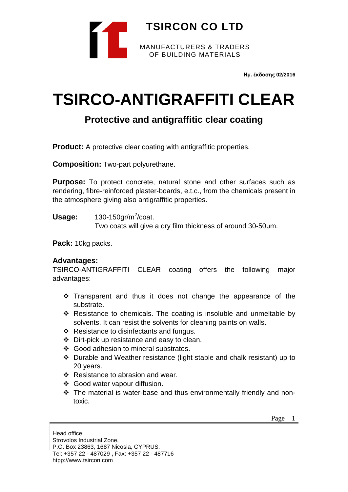

**Ημ. έκδοσης 02/2016**

# **TSIRCO-ANTIGRAFFITI CLEAR**

## **Protective and antigraffitic clear coating**

**Product:** A protective clear coating with antigraffitic properties.

**Composition:** Two-part polyurethane.

**Purpose:** To protect concrete, natural stone and other surfaces such as rendering, fibre-reinforced plaster-boards, e.t.c., from the chemicals present in the atmosphere giving also antigraffitic properties.

**Usage:** 130-150gr/m<sup>2</sup>/coat.

Two coats will give a dry film thickness of around 30-50μm.

**Pack:** 10kg packs.

#### **Advantages:**

TSIRCO-ANTIGRAFFITI CLEAR coating offers the following major advantages:

- $\cdot$  Transparent and thus it does not change the appearance of the substrate.
- $\div$  Resistance to chemicals. The coating is insoluble and unmeltable by solvents. It can resist the solvents for cleaning paints on walls.
- Resistance to disinfectants and fungus.
- Dirt-pick up resistance and easy to clean.
- Good adhesion to mineral substrates.
- Durable and Weather resistance (light stable and chalk resistant) up to 20 years.
- ❖ Resistance to abrasion and wear.
- Good water vapour diffusion.
- \* The material is water-base and thus environmentally friendly and nontoxic.

Page 1

Head office: Strovolos Industrial Zone, P.O. Box 23863, 1687 Nicosia, CYPRUS. Tel: +357 22 - 487029 **,** Fax: +357 22 - 487716 htpp://www.tsircon.com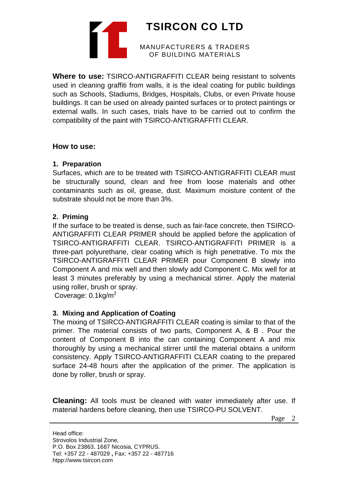

**Where to use:** TSIRCO-ANTIGRAFFITI CLEAR being resistant to solvents used in cleaning graffiti from walls, it is the ideal coating for public buildings such as Schools, Stadiums, Bridges, Hospitals, Clubs, or even Private house buildings. It can be used on already painted surfaces or to protect paintings or external walls. In such cases, trials have to be carried out to confirm the compatibility of the paint with TSIRCO-ANTIGRAFFITI CLEAR.

#### **How to use:**

#### **1. Preparation**

Surfaces, which are to be treated with TSIRCO-ANTIGRAFFITI CLEAR must be structurally sound, clean and free from loose materials and other contaminants such as oil, grease, dust. Maximum moisture content of the substrate should not be more than 3%.

#### **2. Priming**

If the surface to be treated is dense, such as fair-face concrete, then TSIRCO-ANTIGRAFFITI CLEAR PRIMER should be applied before the application of TSIRCO-ANTIGRAFFITI CLEAR. TSIRCO-ANTIGRAFFITI PRIMER is a three-part polyurethane, clear coating which is high penetrative. To mix the TSIRCO-ANTIGRAFFITI CLEAR PRIMER pour Component B slowly into Component A and mix well and then slowly add Component C. Mix well for at least 3 minutes preferably by using a mechanical stirrer. Apply the material using roller, brush or spray.

Coverage:  $0.1$ kg/m<sup>2</sup>

### **3. Mixing and Application of Coating**

The mixing of TSIRCO-ANTIGRAFFITI CLEAR coating is similar to that of the primer. The material consists of two parts, Component A, & B . Pour the content of Component B into the can containing Component A and mix thoroughly by using a mechanical stirrer until the material obtains a uniform consistency. Apply TSIRCO-ANTIGRAFFITI CLEAR coating to the prepared surface 24-48 hours after the application of the primer. The application is done by roller, brush or spray.

**Cleaning:** All tools must be cleaned with water immediately after use. If material hardens before cleaning, then use TSIRCO-PU SOLVENT.

Page 2